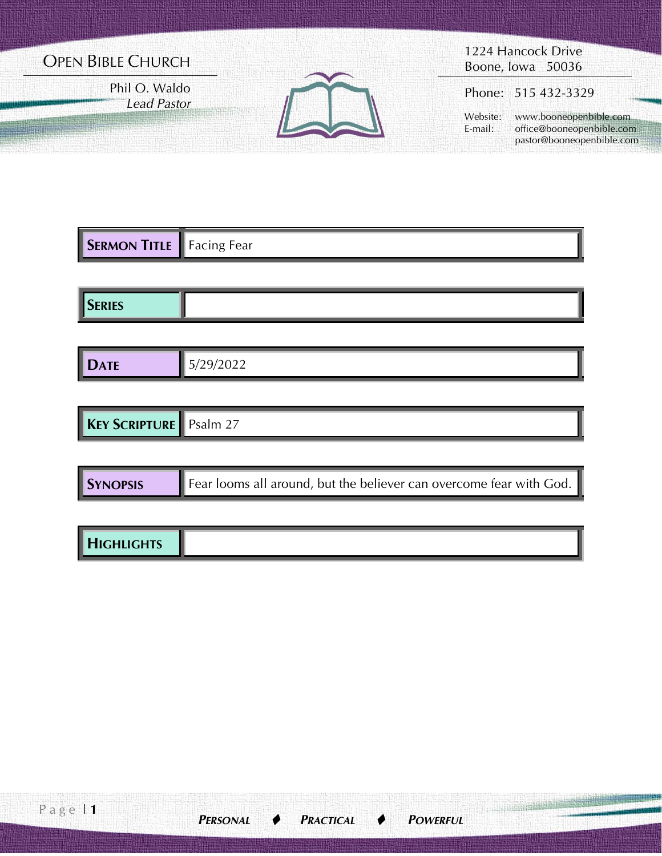# OPEN BIBLE CHURCH

Phil O. Waldo *Lead Pastor*



1224 Hancock Drive Boone, Iowa 50036

Phone: 515 432-3329

 Website: www.booneopenbible.com E-mail: office@booneopenbible.com pastor@booneopenbible.com

| <b>SERMON TITLE</b> Facing Fear |  |
|---------------------------------|--|
|                                 |  |
| <b>SERIES</b>                   |  |

| −<br><b>DATE</b><br>L<br>-- |  |
|-----------------------------|--|
|-----------------------------|--|

| <b>KEY</b><br>$\overline{\phantom{0}}$<br>$\sim$ $-$<br><b>EV SCRIPTURE</b> Psalm $\angle$ |
|--------------------------------------------------------------------------------------------|
|--------------------------------------------------------------------------------------------|

| <b>HIGHLIGHTS</b> |
|-------------------|
|-------------------|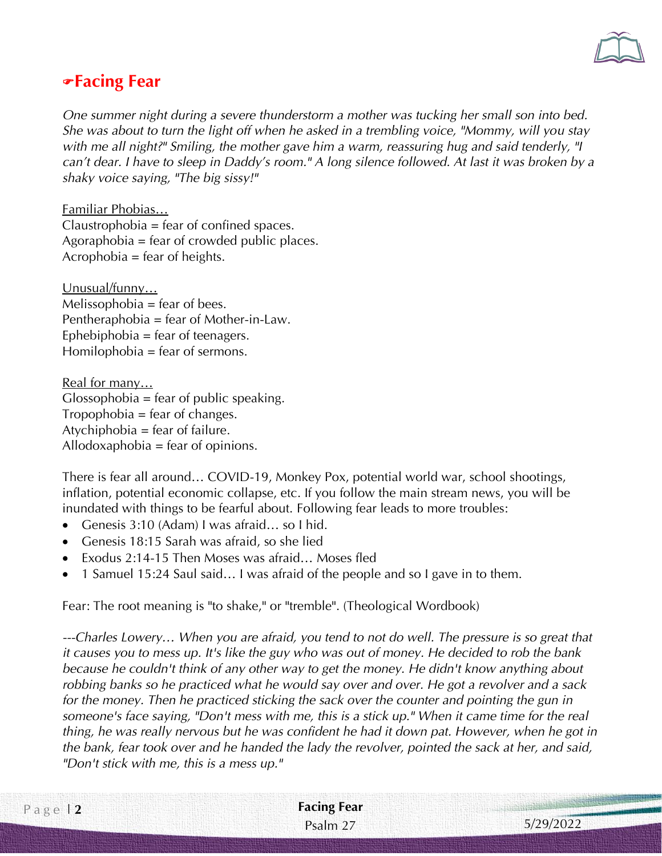

## **Facing Fear**

*One summer night during a severe thunderstorm a mother was tucking her small son into bed. She was about to turn the light off when he asked in a trembling voice, "Mommy, will you stay with me all night?" Smiling, the mother gave him a warm, reassuring hug and said tenderly, "I can't dear. I have to sleep in Daddy's room." A long silence followed. At last it was broken by a shaky voice saying, "The big sissy!"*

Familiar Phobias… Claustrophobia = fear of confined spaces. Agoraphobia = fear of crowded public places. Acrophobia  $=$  fear of heights.

Unusual/funny…  $Melissophobia = fear of bees.$ Pentheraphobia = fear of Mother-in-Law. Ephebiphobia  $=$  fear of teenagers. Homilophobia = fear of sermons.

Real for many…  $G$ lossophobia = fear of public speaking. Tropophobia  $=$  fear of changes. Atychiphobia = fear of failure. Allodoxaphobia = fear of opinions.

There is fear all around… COVID-19, Monkey Pox, potential world war, school shootings, inflation, potential economic collapse, etc. If you follow the main stream news, you will be inundated with things to be fearful about. Following fear leads to more troubles:

- Genesis 3:10 (Adam) I was afraid… so I hid.
- Genesis 18:15 Sarah was afraid, so she lied
- Exodus 2:14-15 Then Moses was afraid… Moses fled
- 1 Samuel 15:24 Saul said… I was afraid of the people and so I gave in to them.

Fear: The root meaning is "to shake," or "tremble". (Theological Wordbook)

*---Charles Lowery… When you are afraid, you tend to not do well. The pressure is so great that it causes you to mess up. It's like the guy who was out of money. He decided to rob the bank because he couldn't think of any other way to get the money. He didn't know anything about robbing banks so he practiced what he would say over and over. He got a revolver and a sack for the money. Then he practiced sticking the sack over the counter and pointing the gun in someone's face saying, "Don't mess with me, this is a stick up." When it came time for the real thing, he was really nervous but he was confident he had it down pat. However, when he got in the bank, fear took over and he handed the lady the revolver, pointed the sack at her, and said, "Don't stick with me, this is a mess up."*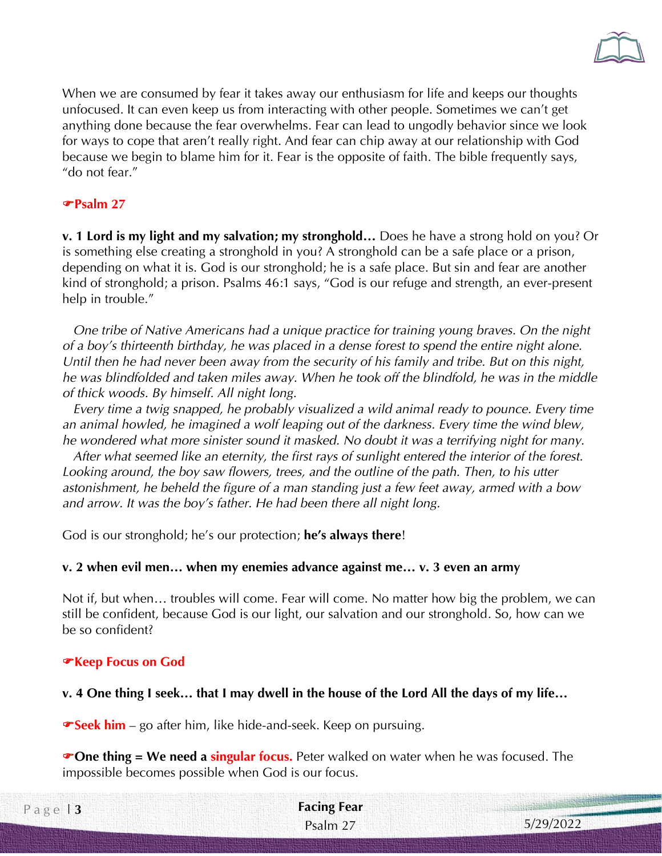

When we are consumed by fear it takes away our enthusiasm for life and keeps our thoughts unfocused. It can even keep us from interacting with other people. Sometimes we can't get anything done because the fear overwhelms. Fear can lead to ungodly behavior since we look for ways to cope that aren't really right. And fear can chip away at our relationship with God because we begin to blame him for it. Fear is the opposite of faith. The bible frequently says, "do not fear."

## **Psalm 27**

**v. 1 Lord is my light and my salvation; my stronghold…** Does he have a strong hold on you? Or is something else creating a stronghold in you? A stronghold can be a safe place or a prison, depending on what it is. God is our stronghold; he is a safe place. But sin and fear are another kind of stronghold; a prison. Psalms 46:1 says, "God is our refuge and strength, an ever-present help in trouble."

 *One tribe of Native Americans had a unique practice for training young braves. On the night of a boy's thirteenth birthday, he was placed in a dense forest to spend the entire night alone. Until then he had never been away from the security of his family and tribe. But on this night, he was blindfolded and taken miles away. When he took off the blindfold, he was in the middle of thick woods. By himself. All night long.* 

 *Every time a twig snapped, he probably visualized a wild animal ready to pounce. Every time an animal howled, he imagined a wolf leaping out of the darkness. Every time the wind blew, he wondered what more sinister sound it masked. No doubt it was a terrifying night for many.*

 *After what seemed like an eternity, the first rays of sunlight entered the interior of the forest. Looking around, the boy saw flowers, trees, and the outline of the path. Then, to his utter astonishment, he beheld the figure of a man standing just a few feet away, armed with a bow and arrow. It was the boy's father. He had been there all night long.*

God is our stronghold; he's our protection; **he's always there**!

## **v. 2 when evil men… when my enemies advance against me… v. 3 even an army**

Not if, but when… troubles will come. Fear will come. No matter how big the problem, we can still be confident, because God is our light, our salvation and our stronghold. So, how can we be so confident?

## **Keep Focus on God**

## **v. 4 One thing I seek… that I may dwell in the house of the Lord All the days of my life…**

**Seek him** – go after him, like hide-and-seek. Keep on pursuing.

**The one thing = We need a singular focus.** Peter walked on water when he was focused. The impossible becomes possible when God is our focus.

|  |  | Page 13 |
|--|--|---------|
|  |  |         |
|  |  |         |
|  |  |         |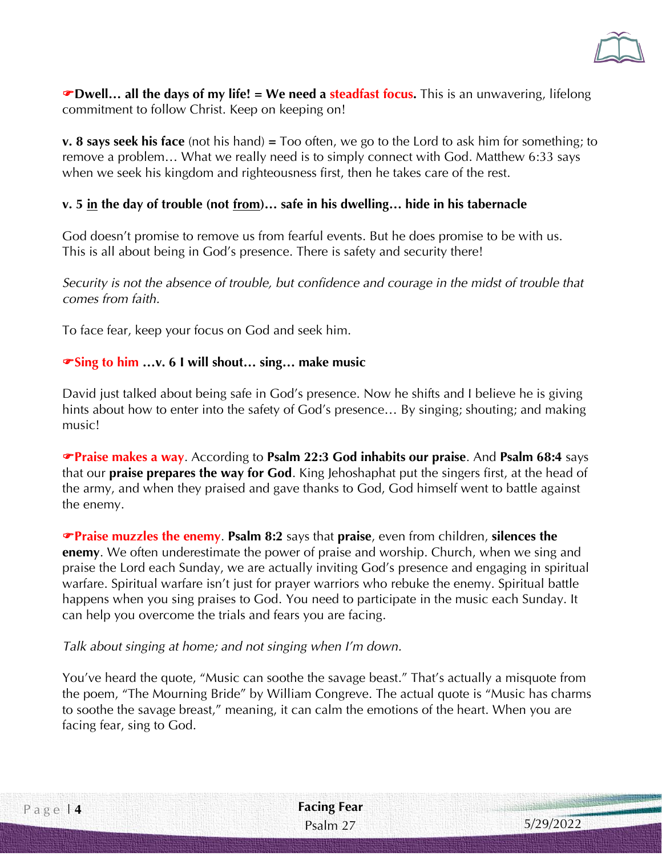

**Dwell… all the days of my life! = We need a steadfast focus.** This is an unwavering, lifelong commitment to follow Christ. Keep on keeping on!

**v. 8 says seek his face** (not his hand) **=** Too often, we go to the Lord to ask him for something; to remove a problem… What we really need is to simply connect with God. Matthew 6:33 says when we seek his kingdom and righteousness first, then he takes care of the rest.

## **v. 5 in the day of trouble (not from)… safe in his dwelling… hide in his tabernacle**

God doesn't promise to remove us from fearful events. But he does promise to be with us. This is all about being in God's presence. There is safety and security there!

*Security is not the absence of trouble, but confidence and courage in the midst of trouble that comes from faith.*

To face fear, keep your focus on God and seek him.

#### **Sing to him …v. 6 I will shout… sing… make music**

David just talked about being safe in God's presence. Now he shifts and I believe he is giving hints about how to enter into the safety of God's presence... By singing; shouting; and making music!

**Praise makes a way**. According to **Psalm 22:3 God inhabits our praise**. And **Psalm 68:4** says that our **praise prepares the way for God**. King Jehoshaphat put the singers first, at the head of the army, and when they praised and gave thanks to God, God himself went to battle against the enemy.

**Praise muzzles the enemy**. **Psalm 8:2** says that **praise**, even from children, **silences the enemy**. We often underestimate the power of praise and worship. Church, when we sing and praise the Lord each Sunday, we are actually inviting God's presence and engaging in spiritual warfare. Spiritual warfare isn't just for prayer warriors who rebuke the enemy. Spiritual battle happens when you sing praises to God. You need to participate in the music each Sunday. It can help you overcome the trials and fears you are facing.

#### *Talk about singing at home; and not singing when I'm down.*

You've heard the quote, "Music can soothe the savage beast." That's actually a misquote from the poem, "The Mourning Bride" by William Congreve. The actual quote is "Music has charms to soothe the savage breast," meaning, it can calm the emotions of the heart. When you are facing fear, sing to God.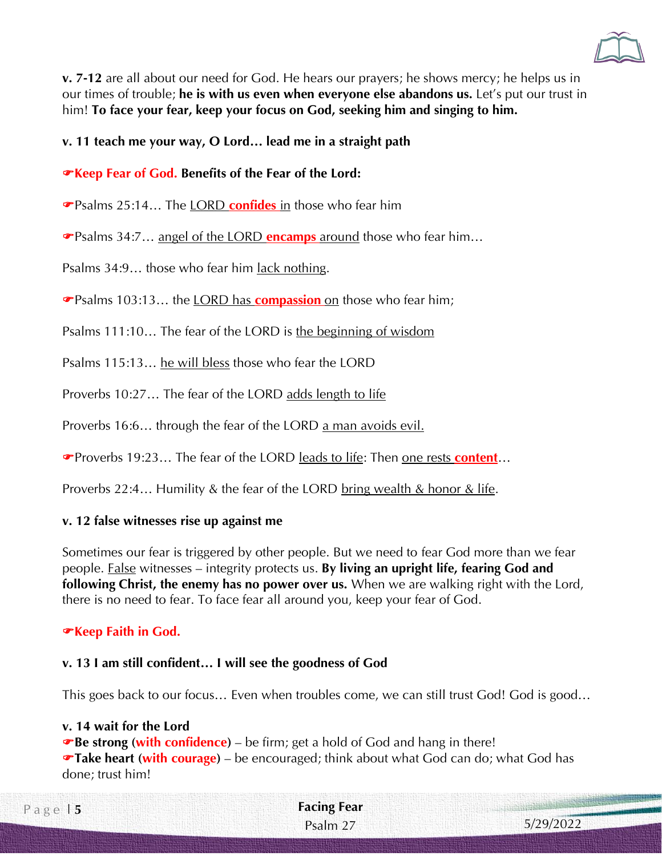

**v. 7-12** are all about our need for God. He hears our prayers; he shows mercy; he helps us in our times of trouble; **he is with us even when everyone else abandons us.** Let's put our trust in him! **To face your fear, keep your focus on God, seeking him and singing to him.**

**v. 11 teach me your way, O Lord… lead me in a straight path**

## **Keep Fear of God. Benefits of the Fear of the Lord:**

Psalms 25:14… The LORD **confides** in those who fear him

Psalms 34:7… angel of the LORD **encamps** around those who fear him…

Psalms 34:9… those who fear him lack nothing.

Psalms 103:13… the LORD has **compassion** on those who fear him;

Psalms 111:10… The fear of the LORD is the beginning of wisdom

Psalms 115:13… he will bless those who fear the LORD

Proverbs 10:27... The fear of the LORD adds length to life

Proverbs 16:6… through the fear of the LORD a man avoids evil.

Proverbs 19:23… The fear of the LORD leads to life: Then one rests **content**…

Proverbs 22:4… Humility & the fear of the LORD bring wealth & honor & life.

## **v. 12 false witnesses rise up against me**

Sometimes our fear is triggered by other people. But we need to fear God more than we fear people. False witnesses – integrity protects us. **By living an upright life, fearing God and following Christ, the enemy has no power over us.** When we are walking right with the Lord, there is no need to fear. To face fear all around you, keep your fear of God.

## **Keep Faith in God.**

## **v. 13 I am still confident… I will see the goodness of God**

This goes back to our focus... Even when troubles come, we can still trust God! God is good...

#### **v. 14 wait for the Lord**

**Be strong (with confidence)** – be firm; get a hold of God and hang in there!

**Take heart (with courage)** – be encouraged; think about what God can do; what God has done; trust him!